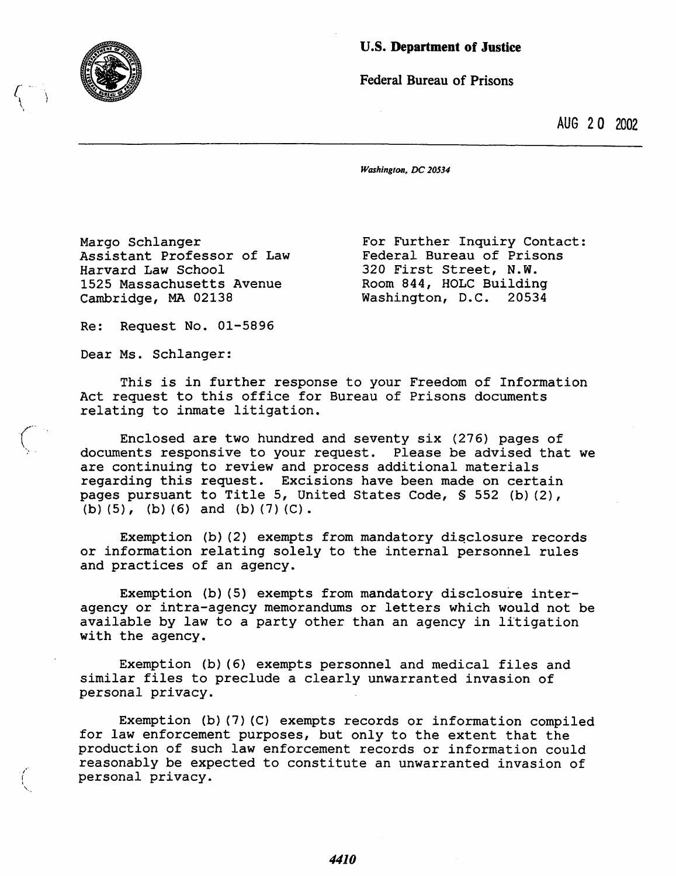

*r-*  $\mathcal{L}$ 

## U.S. Department of Justiee

Federal Bureau of Prisons

AUG 20 2002

*Washington. DC 20534* 

Margo Schlanger Assistant Professor of Law Harvard Law School 1525 Massachusetts Avenue Cambridge, MA 02138

For Further Inquiry Contact: Federal Bureau of Prisons 320 First Street, N.W. Room 844, HOLC Building<br>Washington, D.C. 20534 Washington, D.C.

Re: Request No. 01-5896

Dear Ms. Schlanger:

This is in further response to your Freedom of Information Act request to this office for Bureau of Prisons documents relating to inmate litigation.

Enclosed are two hundred and seventy six (276) pages of documents responsive to your request. Please be advised that we are continuing to review and process additional materials regarding this request. Excisions have been made on certain pages pursuant to Title 5, United States Code, § 552 (b) (2), (b) (5), (b) (6) and (b) (7) (C) .

Exemption (b)  $(2)$  exempts from mandatory disclosure records or information relating solely to the internal personnel rules and practices of an agency.

Exemption (b) (5) exempts from mandatory disclosure interagency or intra-agency memorandums or letters which would not be available by law to a party other than an agency in litigation with the agency.

Exemption (b) (6) exempts personnel and medical files and similar files to preclude a clearly unwarranted invasion of personal privacy.

Exemption (b) (7) (C) exempts records or information compiled for law enforcement purposes, but only to the extent that the production of such law enforcement records or information could reasonably be expected to constitute an unwarranted invasion of personal privacy.